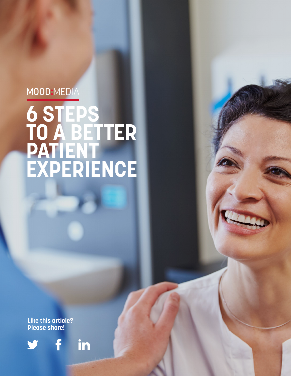## MOOD:MEDIA

# **6 STEPS TO A BETTER PATIENT EXPERIENCE**

**Like this article? Please share!**

f



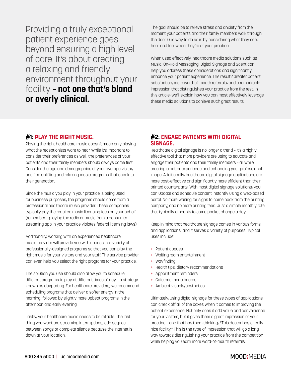Providing a truly exceptional patient experience goes beyond ensuring a high level of care. It's about creating a relaxing and friendly environment throughout your facility **– not one that's bland or overly clinical.**

The goal should be to relieve stress and anxiety from the moment your patients and their family members walk through the door. One way to do so is by considering what they see, hear and feel when they're at your practice.

When used effectively, healthcare media solutions such as Music, On-Hold Messaging, Digital Signage and Scent can help you address these considerations and significantly enhance your patient experience. The result? Greater patient satisfaction, more word-of-mouth referrals, and a remarkable impression that distinguishes your practice from the rest. In this article, we'll explain how you can most effectively leverage these media solutions to achieve such great results.

### **#1: PLAY THE RIGHT MUSIC.**

Playing the right healthcare music doesn't mean only playing what the receptionists want to hear. While it's important to consider their preferences as well, the preferences of your patients and their family members should always come first. Consider the age and demographics of your average visitor, and find uplifting and relaxing music programs that speak to their generation.

Since the music you play in your practice is being used for business purposes, the programs should come from a professional healthcare music provider. These companies typically pay the required music licensing fees on your behalf (remember – playing the radio or music from a consumer streaming app in your practice violates federal licensing laws).

Additionally, working with an experienced healthcare music provider will provide you with access to a variety of professionally-designed programs so that you can play the right music for your visitors and your staff. The service provider can even help you select the right programs for your practice.

The solution you use should also allow you to schedule different programs to play at different times of day – a strategy known as dayparting. For healthcare providers, we recommend scheduling programs that deliver a softer energy in the morning, followed by slightly more upbeat programs in the afternoon and early evening.

Lastly, your healthcare music needs to be reliable. The last thing you want are streaming interruptions, odd segues between songs or complete silence because the internet is down at your location.

### **#2: ENGAGE PATIENTS WITH DIGITAL SIGNAGE.**

Healthcare digital signage is no longer a trend – it's a highly effective tool that more providers are using to educate and engage their patients and their family members – all while creating a better experience and enhancing your professional image. Additionally, healthcare digital signage applications are more cost-effective and significantly more efficient than their printed counterparts. With most digital signage solutions, you can update and schedule content instantly using a web-based portal. No more waiting for signs to come back from the printing company, and no more printing fees. Just a simple monthly rate that typically amounts to some pocket change a day.

Keep in mind that healthcare signage comes in various forms and applications, and it serves a variety of purposes. Typical uses include:

- + Patient queues
- + Waiting room entertainment
- + Wayfinding
- + Health tips, dietary recommendations
- + Appointment reminders
- + Cafeteria menu boards
- + Ambient visuals/aesthetics

Ultimately, using digital signage for these types of applications can check off all of the boxes when it comes to improving the patient experience. Not only does it add value and convenience for your visitors, but it gives them a great impression of your practice – one that has them thinking, "This doctor has a really nice facility." This is the type of impression that will go a long way towards distinguishing your practice from the competition while helping you earn more word-of-mouth referrals.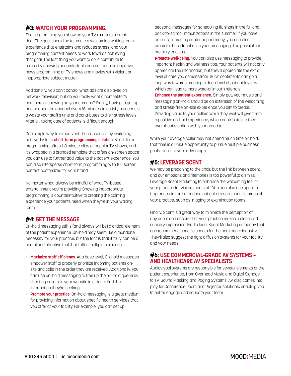### **#3: WATCH YOUR PROGRAMMING.**

The programming you show on your TVs matters a great deal. The goal should be to create a welcoming waiting room experience that entertains and reduces stress, and your programming content needs to work towards achieving that goal. The last thing you want to do is contribute to stress by showing uncomfortable content such as negative news programming or TV shows and movies with violent or inappropriate subject matter.

Additionally, you can't control what ads are displayed on network television, but do you really want a competitor's commercial showing on your screens? Finally, having to get up and change the channel every 15 minutes to satisfy a patient is a waste your staff's time and contributes to their stress levels. After all, taking care of patients is difficult enough.

One simple way to circumvent these issues is by switching out live TV for a **short-form programming solution**. Short-form programming offers 1-3 minute clips of popular TV shows, and it's wrapped in a branded template that offers on-screen space you can use to further add value to the patient experience. You can also intersperse short-form programming with full-screen content customized for your brand.

No matter what, always be mindful of what TV-based entertainment you're providing. Showing inappropriate programming is counterintuitive to creating the calming experience your patients need when they're in your waiting room.

### **#4: GET THE MESSAGE**

On-hold messaging still is (and always will be) a critical element of the patient experience. On-hold may seem like a mundane necessity for your practice, but the fact is that it truly can be a useful and effective tool that fulfills multiple purposes:

- + **Maximize staff efficiency.** At a base level, On-hold messages empower staff to properly prioritize incoming patients on site and calls in the order they are received. Additionally, you can use on-hold messaging to free up the on-hold queue by directing callers to your website in order to find the information they're seeking.
- + **Promote your practice.** On-hold messaging is a great medium for providing information about specific health services that you offer at your facility. For example, you can set up

 seasonal messages for scheduling flu shots in the fall and back-to-school immunizations in the summer. If you have an on-site imaging center or pharmacy, you can also promote these facilities in your messaging. The possibilities are truly endless.

- + **Promote well-being.** You can also use messaging to provide important health and wellness tips. Your patients will not only appreciate the information, but they'll appreciate the extra level of care you demonstrate. Such sentiments can go a long way towards creating a deep level of patient loyalty, which can lead to more word-of-mouth referrals.
- **Enhance the patient experience.** Simply put, your music and messaging on-hold should be an extension of the welcoming and stress-free on-site experience you aim to create. Providing value to your callers while they wait will give them a positive on-hold experience, which contributes to their overall satisfaction with your practice.

While your average caller may not spend much time on hold, that time is a unique opportunity to pursue multiple business goals. Use it to your advantage.

### **#5: LEVERAGE SCENT**

We may be preaching to the choir, but the link between scent and our emotions and memories is too powerful to dismiss. Leverage Scent Marketing to enhance the welcoming feel of your practice for visitors and staff. You can also use specific fragrances to further reduce patient stress in specific areas of your practice, such as imaging or examination rooms.

Finally, Scent is a great way to minimize the perception of any odors and ensure that your practice makes a clean and sanitary impression. Find a local Scent Marketing company that can recommend specific scents for the healthcare industry. They'll also suggest the right diffusion systems for your facility and your needs.

### **#6: USE COMMERCIAL-GRADE AV SYSTEMS – AND HEALTHCARE AV SPECIALISTS**

Audiovisual systems are responsible for several elements of the patient experience, from Overhead Music and Digital Signage to TV, Sound Masking and Paging Systems. AV also comes into play for Conference Room and Projector solutions, enabling you to better engage and educate your team.